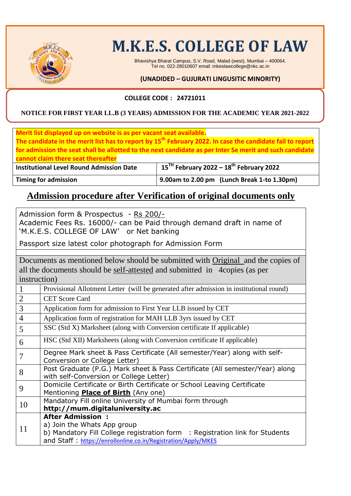

# **M.K.E.S. COLLEGE OF LAW**

Bhavishya Bharat Campus, S.V. Road, Malad (west), Mumbai – 400064. Tel no. 022-28010607 email :mkeslawcollege@nkc.ac.in

#### **(UNADIDED – GUJURATI LINGUSITIC MINORITY)**

#### **COLLEGE CODE : 24721011**

#### **NOTICE FOR FIRST YEAR LL.B (3 YEARS) ADMISSION FOR THE ACADEMIC YEAR 2021-2022**

| Merit list displayed up on website is as per vacant seat available. | The candidate in the merit list has to report by 15 <sup>th</sup> February 2022. In case the candidate fail to report<br>for admission the seat shall be allotted to the next candidate as per Inter Se merit and such candidate |
|---------------------------------------------------------------------|----------------------------------------------------------------------------------------------------------------------------------------------------------------------------------------------------------------------------------|
| cannot claim there seat thereafter                                  |                                                                                                                                                                                                                                  |
| <b>Institutional Level Round Admission Date</b>                     | $15TH$ February 2022 – $18th$ February 2022                                                                                                                                                                                      |
| <b>Timing for admission</b>                                         | 9.00am to 2.00 pm (Lunch Break 1-to 1.30pm)                                                                                                                                                                                      |
|                                                                     | Admission procedure after Verification of original documents only                                                                                                                                                                |

Admission form & Prospectus - Rs 200/- Academic Fees Rs. 16000/- can be Paid through demand draft in name of 'M.K.E.S. COLLEGE OF LAW' or Net banking

Passport size latest color photograph for Admission Form

Documents as mentioned below should be submitted with Original and the copies of all the documents should be self-attested and submitted in 4copies (as per instruction)

| $\mathbf{1}$   | Provisional Allotment Letter (will be generated after admission in institutional round)                                                                                                                 |
|----------------|---------------------------------------------------------------------------------------------------------------------------------------------------------------------------------------------------------|
| $\sqrt{2}$     | <b>CET Score Card</b>                                                                                                                                                                                   |
| $\overline{3}$ | Application form for admission to First Year LLB issued by CET                                                                                                                                          |
| $\overline{4}$ | Application form of registration for MAH LLB 3yrs issued by CET                                                                                                                                         |
| 5              | SSC (Std X) Marksheet (along with Conversion certificate If applicable)                                                                                                                                 |
| 6              | HSC (Std XII) Marksheets (along with Conversion certificate If applicable)                                                                                                                              |
| 7              | Degree Mark sheet & Pass Certificate (All semester/Year) along with self-<br>Conversion or College Letter)                                                                                              |
| 8              | Post Graduate (P.G.) Mark sheet & Pass Certificate (All semester/Year) along<br>with self-Conversion or College Letter)                                                                                 |
| 9              | Domicile Certificate or Birth Certificate or School Leaving Certificate<br>Mentioning <b>Place of Birth</b> (Any one)                                                                                   |
| 10             | Mandatory Fill online University of Mumbai form through<br>http://mum.digitaluniversity.ac                                                                                                              |
| 11             | <b>After Admission:</b><br>a) Join the Whats App group<br>b) Mandatory Fill College registration form : Registration link for Students<br>and Staff: https://enrollonline.co.in/Registration/Apply/MKES |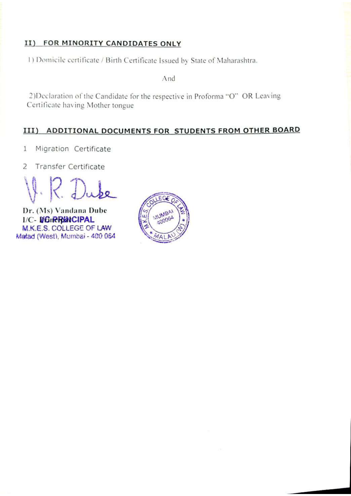#### II) FOR MINORITY CANDIDATES ONLY

1) Domicile certificate / Birth Certificate Issued by State of Maharashtra.

And

2)Declaration of the Candidate for the respective in Proforma "O" OR Leaving Certificate having Mother tongue

#### III) ADDITIONAL DOCUMENTS FOR STUDENTS FROM OTHER BOARD

- Migration Certificate 1
- $\overline{2}$ Transfer Certificate

Dr. (Ms) Vandana Dube **I/C- BOIRRINCIPAL** M.K.E.S. COLLEGE OF LAW Matad (West), Mumbai - 400 064

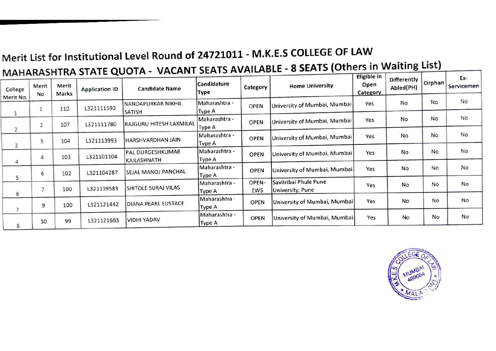## Merit List for Institutional Level Round of 24721011 - M.K.E.S COLLEGE OF LAW MAHARASHTRA STATE QUOTA - VACANT SEATS AVAILABLE - 8 SEATS (Others in Waiting List)

| College        | Merit<br>No    | Merit<br>Marks | M<br><b>Application ID</b> | <b>Candidate Name</b>           | Candidature<br>Type            | Category     | <b>Home University</b>                    | Eligible in<br>Open<br>Category | Differently<br>Abled(PH) | Orphan    | Ex-<br>Servicemen |
|----------------|----------------|----------------|----------------------------|---------------------------------|--------------------------------|--------------|-------------------------------------------|---------------------------------|--------------------------|-----------|-------------------|
| Merit No.      | 1              | 110            | L321111592                 | NANDAPURKAR NIKHIL<br>SATISH    | Maharashtra -<br><b>Type A</b> | <b>OPEN</b>  | University of Mumbai, Mumbai              | Yes                             | No                       | No        | No                |
| $\overline{2}$ | $\overline{2}$ | 107            | L321111780                 | RAJGURU HITESH LAXMILAL         | Maharashtra -<br><b>Type A</b> | <b>OPEN</b>  | University of Mumbai, Mumbai              | Yes                             | No                       | <b>No</b> | No                |
| 3              | 3              | 104            | L321113993                 | HARSHVARDHAN JAIN               | Maharashtra -<br><b>Type A</b> | <b>OPEN</b>  | University of Mumbai, Mumbai              | Yes                             | No                       | No        | No                |
| 4              | 4              | 103            | L321101104                 | PAL DURGESHKUMAR<br>KAILASHNATH | Maharashtra -<br>Type A        | OPEN         | University of Mumbai, Mumbai              | Yes                             | No                       | No        | No                |
| 5              | 6              | 102            | L321104287                 | SEJAL MANOJ PANCHAL             | Maharashtra -<br>Type A        | OPEN         | University of Mumbai, Mumbai              | Yes                             | No                       | No        | No                |
| 6              | 7              | 100            | L321139583                 | SHITOLE SURAJ VILAS             | Maharashtra -<br>Type A        | OPEN-<br>EWS | Savitribai Phule Pune<br>University, Pune | Yes                             | <b>No</b>                | No        | No                |
| 7              | 9              | 100            | L321121442                 | DIANA PEARL EUSTACE             | Maharashtra -<br>Type A        | OPEN         | University of Mumbai, Mumbai              | Yes                             | No                       | No        | No                |
| 8              | 10             | 99             | 1321121663                 | VIDHI YADAV                     | Maharashtra -<br>Type A        | <b>OPEN</b>  | University of Mumbai, Mumbai              | Yes                             | No                       | No        | No                |

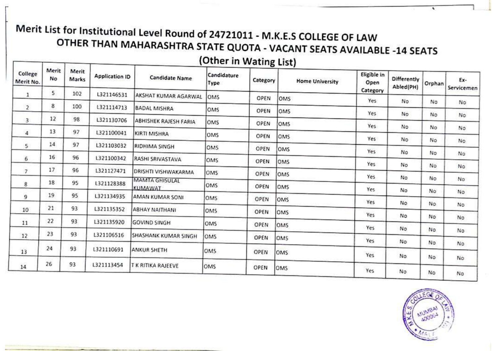# Merit List for Institutional Level Round of 24721011 - M.K.E.S COLLEGE OF LAW OTHER THAN MAHARASHTRA STATE QUOTA - VACANT SEATS AVAILABLE -14 SEATS

### (Other in Wating List)

| College<br>Merit No. | Merit<br>No<br>5. | Merit<br>Marks | <b>Application ID</b> | <b>Candidate Name</b>             | Candidature<br>Type | Category    | <b>Home University</b> | Eligible in<br>Open<br>Category | Differently<br>Abled(PH) | Orphan | Ex-<br>Servicemen |
|----------------------|-------------------|----------------|-----------------------|-----------------------------------|---------------------|-------------|------------------------|---------------------------------|--------------------------|--------|-------------------|
| 1                    |                   | 102            | L321146531            | <b>AKSHAT KUMAR AGARWAL</b>       | OMS                 | OPEN        | OMS                    | Yes                             | No                       | No     | No                |
| $\overline{2}$       | $\boldsymbol{8}$  | 100            | L321114713            | <b>BADAL MISHRA</b>               | OMS                 | OPEN        | OMS                    | Yes                             | No                       | No     |                   |
| 3.                   | 12                | 98             | L321130706            | <b>ABHISHEK RAJESH FARIA</b>      | OMS                 | OPEN        | <b>OMS</b>             | Yes                             |                          |        | No.               |
| $\overline{4}$       | 13                | 97             | L321100041            | KIRTI MISHRA                      | OMS                 | OPEN        | OMS                    |                                 | No.                      | No     | No                |
| $\mathsf{S}$         | 14                | 97             | L321103032            | RIDHIMA SINGH                     | OMS                 | OPEN        | OMS                    | Yes                             | No                       | No     | No.               |
| 6                    | 16                | 96             | 1321100342            | RASHI SRIVASTAVA                  | OMS                 | <b>OPEN</b> | OMS                    | Yes                             | No                       | No     | No                |
| $\overline{7}$       | 17                | 96             | L321127471            | DRISHTI VISHWAKARMA               | OMS                 | OPEN        | OMS                    | Yes                             | No                       | No     | No                |
| 8                    | 18                | 95             | L321128388            | <b>MAMTA GHISULAL</b>             | OMS                 | OPEN        | OMS                    | Yes                             | No                       | No     | No                |
| 9                    | 19                | 95             | L321134935            | <b>KUMAWAT</b><br>AMAN KUMAR SONI | OMS                 | OPEN        | OMS                    | Yes                             | No                       | No     | No.               |
| 10                   | 21                | 93             | L321135352            | <b>ABHAY NAITHANI</b>             | <b>OMS</b>          | OPEN        |                        | Yes                             | No                       | No.    | No.               |
| 11                   | 22                | 93             | L321135920            | <b>GOVIND SINGH</b>               |                     |             | <b>OMS</b>             | Yes                             | No                       | No     | No                |
|                      | 23                | 93             |                       |                                   | OMS                 | OPEN        | OMS                    | Yes                             | No                       | No     | No                |
| 12                   |                   |                | L321106516            | SHASHANK KUMAR SINGH              | <b>OMS</b>          | OPEN        | OMS                    | Yes                             | No.                      | No     | No                |
| 13                   | 24                | 93             | L321110691            | <b>ANKUR SHETH</b>                | OMS                 | OPEN        | OMS                    | Yes                             | No                       | No     | No                |
| 14                   | 26                | 93             | L321113454            | T K RITIKA RAJEEVE                | OMS                 | OPEN        | OMS                    | Yes                             | No.                      | No     | No                |

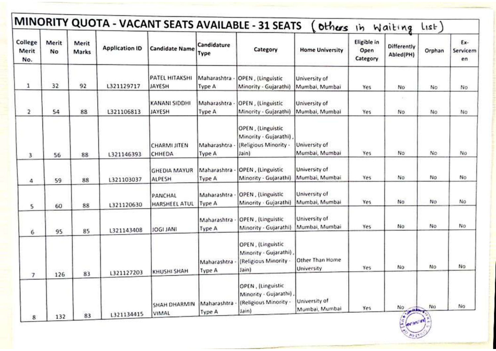|                          |             |                |                       |                               |                       | MINORITY QUOTA - VACANT SEATS AVAILABLE - 31 SEATS                            |                                 | others in Waiting               |                          | List                   |                       |
|--------------------------|-------------|----------------|-----------------------|-------------------------------|-----------------------|-------------------------------------------------------------------------------|---------------------------------|---------------------------------|--------------------------|------------------------|-----------------------|
| College<br>Merit<br>No.  | Merit<br>No | Merit<br>Marks | <b>Application ID</b> | <b>Candidate Name</b>         | Candidature<br>Type   | Category                                                                      | <b>Home University</b>          | Eligible in<br>Open<br>Category | Differently<br>Abled(PH) | Orphan                 | Ex-<br>Servicem<br>en |
| 1                        | 32          | 92             | L321129717            | PATEL HITAKSHI<br>JAYESH      | Maharashtra<br>Type A | OPEN, (Linguistic<br>Minority - Gujarathi)                                    | University of<br>Mumbai, Mumbai | Yes                             | No                       | No                     | No                    |
| $\overline{\mathbf{2}}$  | 54          | 88             | L321106813            | KANANI SIDDHI<br>JAYESH       | Maharashtra<br>Type A | OPEN, (Linguistic<br>Minority - Gujarathi)                                    | University of<br>Mumbai, Mumbai | Yes                             | $\mathbb{R}$ :<br>No.    | No.                    | No                    |
| 3                        | 56          | 88             | L321146393            | CHARMI JITEN<br>CHHEDA        | Maharashtra<br>Type A | OPEN, (Linguistic<br>Minority - Gujarathi),<br>(Religious Minority -<br>Jain) | University of<br>Mumbai, Mumbai | Yes                             | No                       | No                     | No                    |
| 4                        | 59          | 88             | L321103037            | <b>GHEDIA MAYUR</b><br>ALPESH | Maharashtra<br>Type A | OPEN, (Linguistic<br>Minority - Gujarathi)                                    | University of<br>Mumbai, Mumbai | Yes                             | No.                      | No                     | No                    |
| 5                        | 60          | 88             | L321120630            | PANCHAL<br>HARSHEEL ATUL      | Maharashtra<br>Type A | OPEN, (Linguistic<br>Minority - Gujarathi)                                    | University of<br>Mumbai, Mumbai | Yes                             | No                       | No                     | No                    |
| 6                        | 95          | 85             | L321143408            | <b>JOGI JANI</b>              | Maharashtra<br>Type A | OPEN, (Linguistic<br>Minority - Gujarathi)                                    | University of<br>Mumbai, Mumbai | Yes                             | No                       | No                     | No                    |
| $\overline{\phantom{a}}$ | 126         | 83             | L321127203            | KHUSHI SHAH                   | Maharashtra<br>Type A | OPEN, (Linguistic<br>Minority - Gujarathi)<br>(Religious Minority<br>Jain)    | Other Than Home<br>University   | Yes                             | No                       | No                     | No.                   |
| 8                        | 132         | 83             | L321134415            | SHAH DHARMIN<br>VIMAL         | Maharashtra<br>Type A | OPEN, (Linguistic<br>Minority - Gujarathi)<br>(Religious Minority -<br>Jain)  | University of<br>Mumbai, Mumbai | Yes                             | No<br>$\mathbf{r}$       | No<br>$\sum_{i=1}^{n}$ | No                    |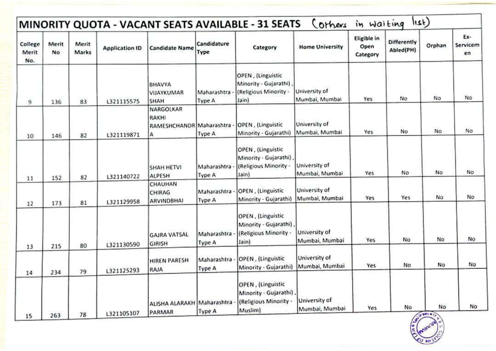| College<br>Merit<br>No. | Merit<br>No | Merit<br>Marks | <b>Application ID</b> | <b>Candidate Name</b>                                      | Candidature<br>Type   | Category                                                                       | <b>Home University</b>          | Eligible in<br>Open<br>Category | <b>Differently</b><br>Abled(PH) | Orphan             | Ex-<br>Servicem<br>en |
|-------------------------|-------------|----------------|-----------------------|------------------------------------------------------------|-----------------------|--------------------------------------------------------------------------------|---------------------------------|---------------------------------|---------------------------------|--------------------|-----------------------|
| 9                       | 136         | 83             | L321115575            | BHAVYA<br>VIJAYKUMAR<br>SHAH                               | Maharashtra<br>Type A | OPEN, (Linguistic<br>Minority - Gujarathi)<br>(Religious Minority -<br>Jain)   | University of<br>Mumbai, Mumbai | Yes                             | No                              | No                 | No.                   |
| 10                      | 146         | 82             | L321119871            | NARGOLKAR<br><b>RAKHI</b><br>RAMESHCHANDR Maharashtra<br>А | Type A                | OPEN, (Linguistic<br>Minority - Gujarathi)                                     | University of<br>Mumbai, Mumbai | Yes                             | No                              | No                 | No                    |
| 11                      | 152         | 82             | L321140722            | SHAH HETVI<br>ALPESH                                       | Maharashtra<br>Type A | OPEN, (Linguistic<br>Minority - Gujarathi)<br>(Religious Minority -<br>Jain)   | University of<br>Mumbai, Mumbai | Yes                             | No                              | No                 | No                    |
| 12                      | 173         | 81             | L321129958            | CHAUHAN<br>CHIRAG<br>ARVINDBHAI                            | Maharashtra<br>Type A | OPEN, (Linguistic<br>Minority - Gujarathi)                                     | University of<br>Mumbai, Mumbai | Yes                             | Yes                             | No                 | No                    |
| 13                      | 215         | 80             | L321130590            | <b>GAJRA VATSAL</b><br><b>GIRISH</b>                       | Maharashtra<br>Type A | OPEN, (Linguistic<br>Minority - Gujarathi)<br>(Religious Minority -<br>Jain)   | University of<br>Mumbai, Mumbai | Yes                             | No                              | No                 | No                    |
| 14                      | 234         | 79             | L321125293            | <b>HIREN PARESH</b><br>RAJA                                | Maharashtra<br>Type A | OPEN, (Linguistic<br>Minority - Gujarathi)                                     | University of<br>Mumbai, Mumbai | Yes                             | No                              | No                 | No                    |
| 15                      | 263         | 78             | L321105107            | ALISHA ALARAKH Maharashtra -<br>PARMAR                     | Type A                | OPEN, (Linguistic<br>Minority - Gujarathi)<br>(Religious Minority -<br>Muslim) | University of<br>Mumbai, Mumbai | Yes                             | No                              | No<br><b>OWING</b> | <b>No</b>             |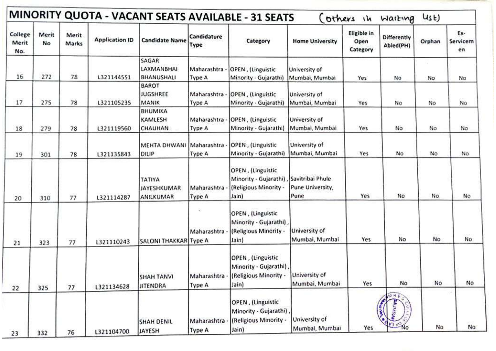| College<br>Merit<br>No. | Merit<br>No | Merit<br>Marks | <b>Application ID</b> | <b>Candidate Name</b>                            | Candidature<br>Type          | Category                                                                      | <b>Home University</b>                       | Eligible in<br>Open<br>Category | Differently<br>Abled(PH) | Orphan | Ex-<br>Servicem<br>en |
|-------------------------|-------------|----------------|-----------------------|--------------------------------------------------|------------------------------|-------------------------------------------------------------------------------|----------------------------------------------|---------------------------------|--------------------------|--------|-----------------------|
| 16                      | 272         | 78             | L321144551            | SAGAR<br><b>LAXMANBHAI</b><br><b>BHANUSHALI</b>  | Maharashtra<br><b>Type A</b> | OPEN, (Linguistic<br>Minority - Gujarathi)                                    | University of<br>Mumbai, Mumbai              | Yes                             | No                       | No     | No                    |
| 17                      | 275         | 78             | L321105235            | <b>BAROT</b><br><b>JUGSHREE</b><br>MANIK         | Maharashtra<br>Type A        | OPEN, (Linguistic<br>Minority - Gujarathi)                                    | University of<br>Mumbai, Mumbai              | Yes                             | No                       | No     | No                    |
| 18                      | 279         | 78             | 1321119560            | <b>BHUMIKA</b><br><b>KAMLESH</b><br>CHAUHAN      | Maharashtra<br>Type A        | OPEN, (Linguistic<br>Minority - Gujarathi)                                    | University of<br>Mumbai, Mumbai              | Yes                             | No                       | No     | No.                   |
| 19                      | 301         | 78             | L321135843            | MEHTA DHWANI Maharashtra<br>DILIP                | Type A                       | OPEN, (Linguistic<br>Minority - Gujarathi)                                    | University of<br>Mumbai, Mumbai              | Yes                             | No                       | No     | No                    |
| 20                      | 310         | 77             | L321114287            | ΤΑΤΙΥΑ<br><b>JAYESHKUMAR</b><br><b>ANILKUMAR</b> | Maharashtra<br>Type A        | OPEN, (Linguistic<br>Minority - Gujarathi)<br>(Religious Minority -<br>Jain)  | Savitribai Phule<br>Pune University,<br>Pune | Yes                             | No                       | No.    | No                    |
| 21                      | 323         | 77             | L321110243            | SALONI THAKKAR Type A                            | Maharashtra                  | OPEN, (Linguistic<br>Minority - Gujarathi)<br>(Religious Minority -<br>Jain)  | University of<br>Mumbai, Mumbai              | Yes                             | No                       | No     | No                    |
| 22                      | 325         | 77             | L321134628            | <b>SHAH TANVI</b><br><b>JITENDRA</b>             | Maharashtra<br>Type A        | OPEN, (Linguistic<br>Minority - Gujarathi),<br>(Religious Minority -<br>Jain) | University of<br>Mumbai, Mumbai              | Yes                             | No                       | No     | No                    |
| 23                      | 332         | 76             | L321104700            | <b>SHAH DENIL</b><br>JAYESH                      | Maharashtra<br>Type A        | OPEN, (Linguistic<br>Minority - Gujarathi)<br>(Religious Minority -<br>Jain)  | University of<br>Mumbai, Mumbai              | Yes                             | 动林县<br><b>No</b>         | No     | No                    |